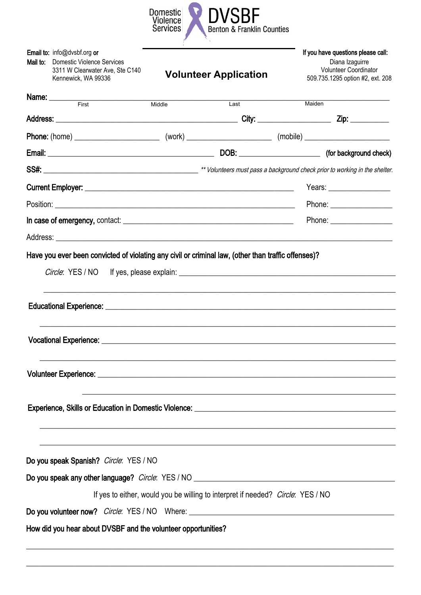

| Mail to: | Email to: info@dvsbf.org or<br><b>Domestic Violence Services</b><br>3311 W Clearwater Ave, Ste C140<br>Kennewick, WA 99336                                                                                                     |        | <b>Volunteer Application</b>                                                    | If you have questions please call:<br>Diana Izaguirre<br><b>Volunteer Coordinator</b><br>509.735.1295 option #2, ext. 208 |
|----------|--------------------------------------------------------------------------------------------------------------------------------------------------------------------------------------------------------------------------------|--------|---------------------------------------------------------------------------------|---------------------------------------------------------------------------------------------------------------------------|
|          | <b>Name:</b> First                                                                                                                                                                                                             | Middle | Last                                                                            | Maiden                                                                                                                    |
|          |                                                                                                                                                                                                                                |        |                                                                                 |                                                                                                                           |
|          |                                                                                                                                                                                                                                |        |                                                                                 |                                                                                                                           |
|          |                                                                                                                                                                                                                                |        |                                                                                 |                                                                                                                           |
|          |                                                                                                                                                                                                                                |        |                                                                                 |                                                                                                                           |
|          |                                                                                                                                                                                                                                |        |                                                                                 |                                                                                                                           |
|          |                                                                                                                                                                                                                                |        |                                                                                 |                                                                                                                           |
|          |                                                                                                                                                                                                                                |        |                                                                                 |                                                                                                                           |
|          |                                                                                                                                                                                                                                |        |                                                                                 |                                                                                                                           |
|          |                                                                                                                                                                                                                                |        |                                                                                 |                                                                                                                           |
|          | Volunteer Experience: University of the Contract of the Contract of the Contract of the Contract of the Contract of the Contract of the Contract of the Contract of the Contract of the Contract of the Contract of the Contra |        |                                                                                 |                                                                                                                           |
|          |                                                                                                                                                                                                                                |        |                                                                                 |                                                                                                                           |
|          | Do you speak Spanish? Circle: YES / NO                                                                                                                                                                                         |        |                                                                                 |                                                                                                                           |
|          |                                                                                                                                                                                                                                |        |                                                                                 |                                                                                                                           |
|          |                                                                                                                                                                                                                                |        | If yes to either, would you be willing to interpret if needed? Circle: YES / NO |                                                                                                                           |
|          | How did you hear about DVSBF and the volunteer opportunities?                                                                                                                                                                  |        |                                                                                 |                                                                                                                           |
|          |                                                                                                                                                                                                                                |        |                                                                                 |                                                                                                                           |